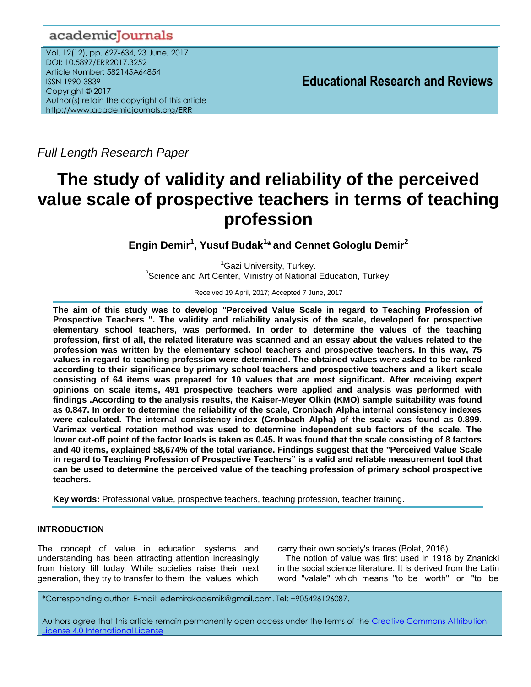## academicJournals

Vol. 12(12), pp. 627-634, 23 June, 2017 DOI: 10.5897/ERR2017.3252 Article Number: 582145A64854 ISSN 1990-3839 Copyright © 2017 Author(s) retain the copyright of this article http://www.academicjournals.org/ERR

**Educational Research and Reviews**

*Full Length Research Paper*

# **The study of validity and reliability of the perceived value scale of prospective teachers in terms of teaching profession**

**Engin Demir<sup>1</sup> , Yusuf Budak<sup>1</sup> \* and Cennet Gologlu Demir<sup>2</sup>**

<sup>1</sup>Gazi University, Turkey. <sup>2</sup>Science and Art Center, Ministry of National Education, Turkey.

Received 19 April, 2017; Accepted 7 June, 2017

**The aim of this study was to develop "Perceived Value Scale in regard to Teaching Profession of Prospective Teachers ". The validity and reliability analysis of the scale, developed for prospective elementary school teachers, was performed. In order to determine the values of the teaching profession, first of all, the related literature was scanned and an essay about the values related to the profession was written by the elementary school teachers and prospective teachers. In this way, 75 values in regard to teaching profession were determined. The obtained values were asked to be ranked according to their significance by primary school teachers and prospective teachers and a likert scale consisting of 64 items was prepared for 10 values that are most significant. After receiving expert opinions on scale items, 491 prospective teachers were applied and analysis was performed with findings .According to the analysis results, the Kaiser-Meyer Olkin (KMO) sample suitability was found as 0.847. In order to determine the reliability of the scale, Cronbach Alpha internal consistency indexes were calculated. The internal consistency index (Cronbach Alpha) of the scale was found as 0.899. Varimax vertical rotation method was used to determine independent sub factors of the scale. The lower cut-off point of the factor loads is taken as 0.45. It was found that the scale consisting of 8 factors and 40 items, explained 58,674% of the total variance. Findings suggest that the "Perceived Value Scale in regard to Teaching Profession of Prospective Teachers" is a valid and reliable measurement tool that can be used to determine the perceived value of the teaching profession of primary school prospective teachers.**

**Key words:** Professional value, prospective teachers, teaching profession, teacher training.

## **INTRODUCTION**

The concept of value in education systems and understanding has been attracting attention increasingly from history till today. While societies raise their next generation, they try to transfer to them the values which carry their own society's traces (Bolat, 2016).

The notion of value was first used in 1918 by Znanicki in the social science literature. It is derived from the Latin word "valale" which means "to be worth" or "to be

\*Corresponding author. E-mail: edemirakademik@gmail.com. Tel: +905426126087.

Authors agree that this article remain permanently open access under the terms of the [Creative Commons Attribution](file://192.168.1.24/reading/Arts%20and%20Education/ERR/2014/sept/read/Correction%20Pdf%201/ERR-17.04.14-1816/Publication/Creative%20Co)  [License 4.0 International License](file://192.168.1.24/reading/Arts%20and%20Education/ERR/2014/sept/read/Correction%20Pdf%201/ERR-17.04.14-1816/Publication/Creative%20Co)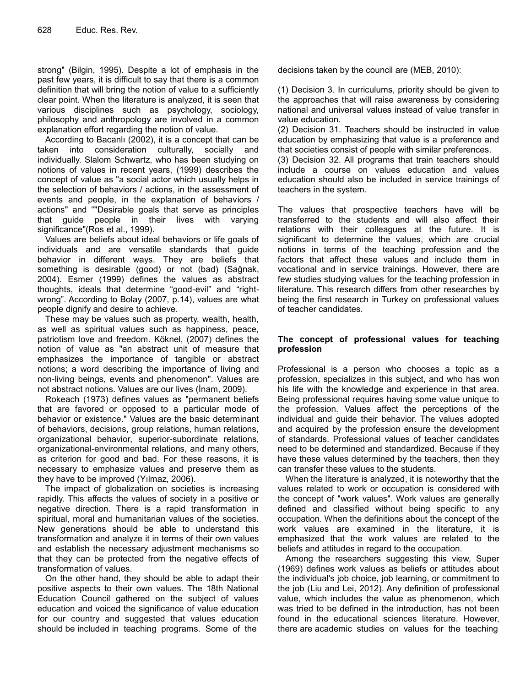strong" (Bilgin, 1995). Despite a lot of emphasis in the past few years, it is difficult to say that there is a common definition that will bring the notion of value to a sufficiently clear point. When the literature is analyzed, it is seen that various disciplines such as psychology, sociology, philosophy and anthropology are involved in a common explanation effort regarding the notion of value.

According to Bacanlı (2002), it is a concept that can be taken into consideration culturally, socially and individually. Slalom Schwartz, who has been studying on notions of values in recent years, (1999) describes the concept of value as "a social actor which usually helps in the selection of behaviors / actions, in the assessment of events and people, in the explanation of behaviors / actions" and ""Desirable goals that serve as principles that guide people in their lives with varying significance"(Ros et al., 1999).

Values are beliefs about ideal behaviors or life goals of individuals and are versatile standards that guide behavior in different ways. They are beliefs that something is desirable (good) or not (bad) (Sağnak, 2004). Esmer (1999) defines the values as abstract thoughts, ideals that determine "good-evil" and "rightwrong". According to Bolay (2007, p.14), values are what people dignify and desire to achieve.

These may be values such as property, wealth, health, as well as spiritual values such as happiness, peace, patriotism love and freedom. Köknel, (2007) defines the notion of value as "an abstract unit of measure that emphasizes the importance of tangible or abstract notions; a word describing the importance of living and non-living beings, events and phenomenon". Values are not abstract notions. Values are our lives (İnam, 2009).

Rokeach (1973) defines values as "permanent beliefs that are favored or opposed to a particular mode of behavior or existence." Values are the basic determinant of behaviors, decisions, group relations, human relations, organizational behavior, superior-subordinate relations, organizational-environmental relations, and many others, as criterion for good and bad. For these reasons, it is necessary to emphasize values and preserve them as they have to be improved (Yılmaz, 2006).

The impact of globalization on societies is increasing rapidly. This affects the values of society in a positive or negative direction. There is a rapid transformation in spiritual, moral and humanitarian values of the societies. New generations should be able to understand this transformation and analyze it in terms of their own values and establish the necessary adjustment mechanisms so that they can be protected from the negative effects of transformation of values.

On the other hand, they should be able to adapt their positive aspects to their own values. The 18th National Education Council gathered on the subject of values education and voiced the significance of value education for our country and suggested that values education should be included in teaching programs. Some of the

decisions taken by the council are (MEB, 2010):

(1) Decision 3. In curriculums, priority should be given to the approaches that will raise awareness by considering national and universal values instead of value transfer in value education.

(2) Decision 31. Teachers should be instructed in value education by emphasizing that value is a preference and that societies consist of people with similar preferences.

(3) Decision 32. All programs that train teachers should include a course on values education and values education should also be included in service trainings of teachers in the system.

The values that prospective teachers have will be transferred to the students and will also affect their relations with their colleagues at the future. It is significant to determine the values, which are crucial notions in terms of the teaching profession and the factors that affect these values and include them in vocational and in service trainings. However, there are few studies studying values for the teaching profession in literature. This research differs from other researches by being the first research in Turkey on professional values of teacher candidates.

## **The concept of professional values for teaching profession**

Professional is a person who chooses a topic as a profession, specializes in this subject, and who has won his life with the knowledge and experience in that area. Being professional requires having some value unique to the profession. Values affect the perceptions of the individual and guide their behavior. The values adopted and acquired by the profession ensure the development of standards. Professional values of teacher candidates need to be determined and standardized. Because if they have these values determined by the teachers, then they can transfer these values to the students.

When the literature is analyzed, it is noteworthy that the values related to work or occupation is considered with the concept of "work values". Work values are generally defined and classified without being specific to any occupation. When the definitions about the concept of the work values are examined in the literature, it is emphasized that the work values are related to the beliefs and attitudes in regard to the occupation.

Among the researchers suggesting this view, Super (1969) defines work values as beliefs or attitudes about the individual's job choice, job learning, or commitment to the job (Liu and Lei, 2012). Any definition of professional value, which includes the value as phenomenon, which was tried to be defined in the introduction, has not been found in the educational sciences literature. However, there are academic studies on values for the teaching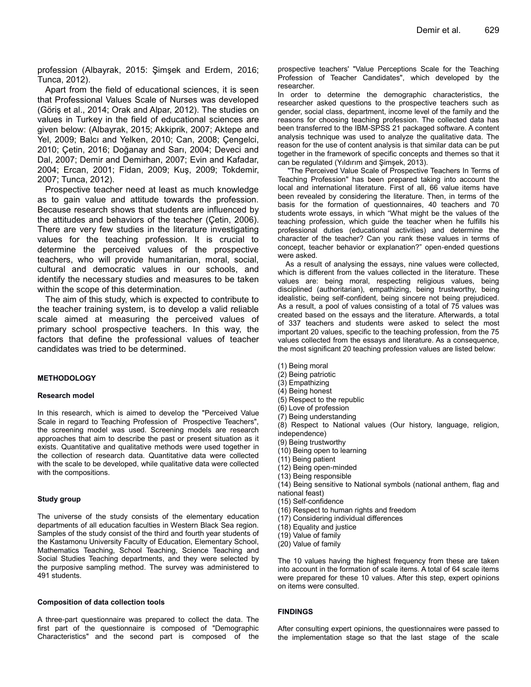profession (Albayrak, 2015: Şimşek and Erdem, 2016; Tunca, 2012).

Apart from the field of educational sciences, it is seen that Professional Values Scale of Nurses was developed (Göriş et al., 2014; Orak and Alpar, 2012). The studies on values in Turkey in the field of educational sciences are given below: (Albayrak, 2015; Akkiprik, 2007; Aktepe and Yel, 2009; Balcı and Yelken, 2010; Can, 2008; Çengelci, 2010; Çetin, 2016; Doğanay and Sarı, 2004; Deveci and Dal, 2007; Demir and Demirhan, 2007; Evin and Kafadar, 2004; Ercan, 2001; Fidan, 2009; Kuş, 2009; Tokdemir, 2007; Tunca, 2012).

Prospective teacher need at least as much knowledge as to gain value and attitude towards the profession. Because research shows that students are influenced by the attitudes and behaviors of the teacher (Çetin, 2006). There are very few studies in the literature investigating values for the teaching profession. It is crucial to determine the perceived values of the prospective teachers, who will provide humanitarian, moral, social, cultural and democratic values in our schools, and identify the necessary studies and measures to be taken within the scope of this determination.

The aim of this study, which is expected to contribute to the teacher training system, is to develop a valid reliable scale aimed at measuring the perceived values of primary school prospective teachers. In this way, the factors that define the professional values of teacher candidates was tried to be determined.

#### **METHODOLOGY**

#### **Research model**

In this research, which is aimed to develop the "Perceived Value Scale in regard to Teaching Profession of Prospective Teachers", the screening model was used. Screening models are research approaches that aim to describe the past or present situation as it exists. Quantitative and qualitative methods were used together in the collection of research data. Quantitative data were collected with the scale to be developed, while qualitative data were collected with the compositions.

#### **Study group**

The universe of the study consists of the elementary education departments of all education faculties in Western Black Sea region. Samples of the study consist of the third and fourth year students of the Kastamonu University Faculty of Education, Elementary School, Mathematics Teaching, School Teaching, Science Teaching and Social Studies Teaching departments, and they were selected by the purposive sampling method. The survey was administered to 491 students.

#### **Composition of data collection tools**

A three-part questionnaire was prepared to collect the data. The first part of the questionnaire is composed of "Demographic Characteristics" and the second part is composed of the

prospective teachers' "Value Perceptions Scale for the Teaching Profession of Teacher Candidates", which developed by the researcher.

In order to determine the demographic characteristics, the researcher asked questions to the prospective teachers such as gender, social class, department, income level of the family and the reasons for choosing teaching profession. The collected data has been transferred to the IBM-SPSS 21 packaged software. A content analysis technique was used to analyze the qualitative data. The reason for the use of content analysis is that similar data can be put together in the framework of specific concepts and themes so that it can be regulated (Yıldırım and Şimşek, 2013).

"The Perceived Value Scale of Prospective Teachers In Terms of Teaching Profession" has been prepared taking into account the local and international literature. First of all, 66 value items have been revealed by considering the literature. Then, in terms of the basis for the formation of questionnaires, 40 teachers and 70 students wrote essays, in which "What might be the values of the teaching profession, which guide the teacher when he fulfills his professional duties (educational activities) and determine the character of the teacher? Can you rank these values in terms of concept, teacher behavior or explanation?" open-ended questions were asked.

As a result of analysing the essays, nine values were collected, which is different from the values collected in the literature. These values are: being moral, respecting religious values, being disciplined (authoritarian), empathizing, being trustworthy, being idealistic, being self-confident, being sincere not being prejudiced. As a result, a pool of values consisting of a total of 75 values was created based on the essays and the literature. Afterwards, a total of 337 teachers and students were asked to select the most important 20 values, specific to the teaching profession, from the 75 values collected from the essays and literature. As a consequence, the most significant 20 teaching profession values are listed below:

- (1) Being moral
- (2) Being patriotic
- (3) Empathizing
- (4) Being honest
- (5) Respect to the republic
- (6) Love of profession
- (7) Being understanding
- (8) Respect to National values (Our history, language, religion, independence)
- (9) Being trustworthy
- (10) Being open to learning
- (11) Being patient
- (12) Being open-minded
- (13) Being responsible
- (14) Being sensitive to National symbols (national anthem, flag and national feast)
- (15) Self-confidence
- (16) Respect to human rights and freedom
- (17) Considering individual differences
- (18) Equality and justice
- (19) Value of family
- (20) Value of family

The 10 values having the highest frequency from these are taken into account in the formation of scale items. A total of 64 scale items were prepared for these 10 values. After this step, expert opinions on items were consulted.

#### **FINDINGS**

After consulting expert opinions, the questionnaires were passed to the implementation stage so that the last stage of the scale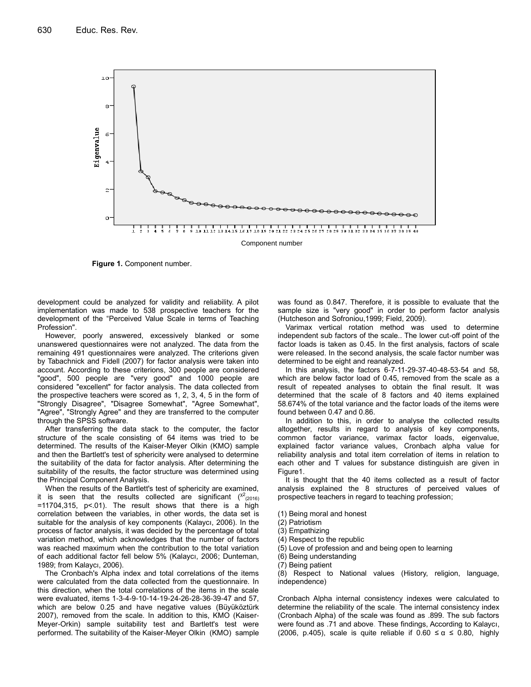

**Figure 1.** Component number.

development could be analyzed for validity and reliability. A pilot implementation was made to 538 prospective teachers for the development of the "Perceived Value Scale in terms of Teaching Profession".

However, poorly answered, excessively blanked or some unanswered questionnaires were not analyzed. The data from the remaining 491 questionnaires were analyzed. The criterions given by Tabachnick and Fidell (2007) for factor analysis were taken into account. According to these criterions, 300 people are considered "good", 500 people are "very good" and 1000 people are considered "excellent" for factor analysis. The data collected from the prospective teachers were scored as 1, 2, 3, 4, 5 in the form of "Strongly Disagree", "Disagree Somewhat", "Agree Somewhat", "Agree", "Strongly Agree" and they are transferred to the computer through the SPSS software.

After transferring the data stack to the computer, the factor structure of the scale consisting of 64 items was tried to be determined. The results of the Kaiser-Meyer Olkin (KMO) sample and then the Bartlett's test of sphericity were analysed to determine the suitability of the data for factor analysis. After determining the suitability of the results, the factor structure was determined using the Principal Component Analysis.

When the results of the Bartlett's test of sphericity are examined, it is seen that the results collected are significant  $(x^2_{(2016)})$  $=11704,315$ ,  $p<.01$ ). The result shows that there is a high correlation between the variables, in other words, the data set is suitable for the analysis of key components (Kalaycı, 2006). In the process of factor analysis, it was decided by the percentage of total variation method, which acknowledges that the number of factors was reached maximum when the contribution to the total variation of each additional factor fell below 5% (Kalaycı, 2006; Dunteman, 1989; from Kalaycı, 2006).

The Cronbach's Alpha index and total correlations of the items were calculated from the data collected from the questionnaire. In this direction, when the total correlations of the items in the scale were evaluated, items 1-3-4-9-10-14-19-24-26-28-36-39-47 and 57, which are below 0.25 and have negative values (Büyüköztürk 2007), removed from the scale. In addition to this, KMO (Kaiser-Meyer-Orkin) sample suitability test and Bartlett's test were performed. The suitability of the Kaiser-Meyer Olkin (KMO) sample was found as 0.847. Therefore, it is possible to evaluate that the sample size is "very good" in order to perform factor analysis (Hutcheson and Sofroniou,1999; Field, 2009).

Varimax vertical rotation method was used to determine independent sub factors of the scale.. The lower cut-off point of the factor loads is taken as 0.45. In the first analysis, factors of scale were released. In the second analysis, the scale factor number was determined to be eight and reanalyzed.

In this analysis, the factors 6-7-11-29-37-40-48-53-54 and 58, which are below factor load of 0.45, removed from the scale as a result of repeated analyses to obtain the final result. It was determined that the scale of 8 factors and 40 items explained 58.674% of the total variance and the factor loads of the items were found between 0.47 and 0.86.

In addition to this, in order to analyse the collected results altogether, results in regard to analysis of key components, common factor variance, varimax factor loads, eigenvalue, explained factor variance values, Cronbach alpha value for reliability analysis and total item correlation of items in relation to each other and T values for substance distinguish are given in Figure1.

It is thought that the 40 items collected as a result of factor analysis explained the 8 structures of perceived values of prospective teachers in regard to teaching profession;

- (1) Being moral and honest
- (2) Patriotism
- (3) Empathizing
- (4) Respect to the republic
- (5) Love of profession and and being open to learning
- (6) Being understanding
- (7) Being patient

(8) Respect to National values (History, religion, language, independence)

Cronbach Alpha internal consistency indexes were calculated to determine the reliability of the scale. The internal consistency index (Cronbach Alpha) of the scale was found as .899. The sub factors were found as .71 and above. These findings, According to Kalaycı, (2006, p.405), scale is quite reliable if  $0.60 \le \alpha \le 0.80$ , highly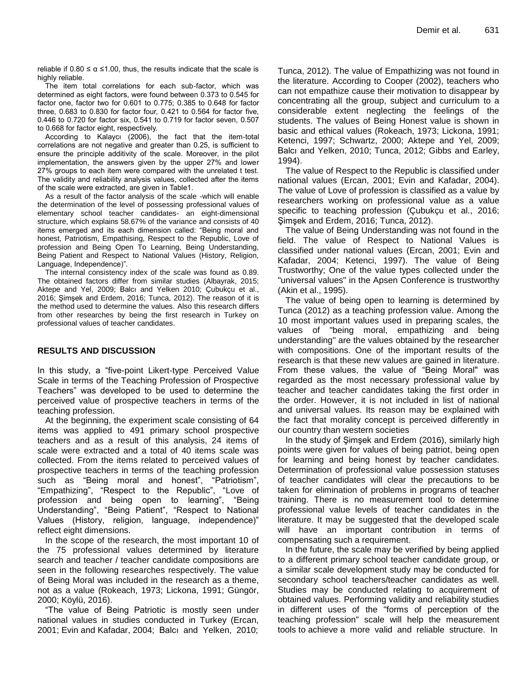reliable if  $0.80 \le \alpha \le 1.00$ , thus, the results indicate that the scale is highly reliable.

The item total correlations for each sub-factor, which was determined as eight factors, were found between 0.373 to 0.545 for factor one, factor two for 0.601 to 0.775; 0.385 to 0.648 for factor three, 0.683 to 0.830 for factor four, 0.421 to 0.564 for factor five, 0.446 to 0.720 for factor six, 0.541 to 0.719 for factor seven, 0.507 to 0.668 for factor eight, respectively.

According to Kalaycı (2006), the fact that the item-total correlations are not negative and greater than 0.25, is sufficient to ensure the principle additivity of the scale. Moreover, in the pilot implementation, the answers given by the upper 27% and lower 27% groups to each item were compared with the unrelated t test. The validity and reliability analysis values, collected after the items of the scale were extracted, are given in Table1.

As a result of the factor analysis of the scale -which will enable the determination of the level of possessing professional values of elementary school teacher candidates- an eight-dimensional structure, which explains 58.67% of the variance and consists of 40 items emerged and its each dimension called: "Being moral and honest, Patriotism, Empathising, Respect to the Republic, Love of profession and Being Open To Learning, Being Understanding, Being Patient and Respect to National Values (History, Religion, Language, Independence)".

The internal consistency index of the scale was found as 0.89. The obtained factors differ from similar studies (Albayrak, 2015; Aktepe and Yel, 2009; Balcı and Yelken 2010; Çubukçu et al., 2016; Şimşek and Erdem, 2016; Tunca, 2012). The reason of it is the method used to determine the values. Also this research differs from other researches by being the first research in Turkey on professional values of teacher candidates.

## **RESULTS AND DISCUSSION**

In this study, a "five-point Likert-type Perceived Value Scale in terms of the Teaching Profession of Prospective Teachers" was developed to be used to determine the perceived value of prospective teachers in terms of the teaching profession.

At the beginning, the experiment scale consisting of 64 items was applied to 491 primary school prospective teachers and as a result of this analysis, 24 items of scale were extracted and a total of 40 items scale was collected. From the items related to perceived values of prospective teachers in terms of the teaching profession such as "Being moral and honest", "Patriotism", "Empathizing", "Respect to the Republic", "Love of profession and being open to learning", "Being Understanding", "Being Patient", "Respect to National Values (History, religion, language, independence)" reflect eight dimensions.

In the scope of the research, the most important 10 of the 75 professional values determined by literature search and teacher / teacher candidate compositions are seen in the following researches respectively. The value of Being Moral was included in the research as a theme, not as a value (Rokeach, 1973; Lickona, 1991; Güngör, 2000; Köylü, 2016).

"The value of Being Patriotic is mostly seen under national values in studies conducted in Turkey (Ercan, 2001; Evin and Kafadar, 2004; Balcı and Yelken, 2010;

Tunca, 2012). The value of Empathizing was not found in the literature. According to Cooper (2002), teachers who can not empathize cause their motivation to disappear by concentrating all the group, subject and curriculum to a considerable extent neglecting the feelings of the students. The values of Being Honest value is shown in basic and ethical values (Rokeach, 1973; Lickona, 1991; Ketenci, 1997; Schwartz, 2000; Aktepe and Yel, 2009; Balcı and Yelken, 2010; Tunca, 2012; Gibbs and Earley, 1994).

The value of Respect to the Republic is classified under national values (Ercan, 2001; Evin and Kafadar, 2004). The value of Love of profession is classified as a value by researchers working on professional value as a value specific to teaching profession (Çubukçu et al., 2016; Şimşek and Erdem, 2016; Tunca, 2012).

The value of Being Understanding was not found in the field. The value of Respect to National Values is classified under national values (Ercan, 2001; Evin and Kafadar, 2004; Ketenci, 1997). The value of Being Trustworthy; One of the value types collected under the "universal values" in the Apsen Conference is trustworthy (Akin et al., 1995).

The value of being open to learning is determined by Tunca (2012) as a teaching profession value. Among the 10 most important values used in preparing scales, the values of "being moral, empathizing and being understanding" are the values obtained by the researcher with compositions. One of the important results of the research is that these new values are gained in literature. From these values, the value of "Being Moral" was regarded as the most necessary professional value by teacher and teacher candidates taking the first order in the order. However, it is not included in list of national and universal values. Its reason may be explained with the fact that morality concept is perceived differently in our country than western societies

In the study of Şimşek and Erdem (2016), similarly high points were given for values of being patriot, being open for learning and being honest by teacher candidates. Determination of professional value possession statuses of teacher candidates will clear the precautions to be taken for elimination of problems in programs of teacher training. There is no measurement tool to determine professional value levels of teacher candidates in the literature. It may be suggested that the developed scale will have an important contribution in terms of compensating such a requirement.

In the future, the scale may be verified by being applied to a different primary school teacher candidate group, or a similar scale development study may be conducted for secondary school teachers/teacher candidates as well. Studies may be conducted relating to acquirement of obtained values. Performing validity and reliability studies in different uses of the "forms of perception of the teaching profession" scale will help the measurement tools to achieve a more valid and reliable structure. In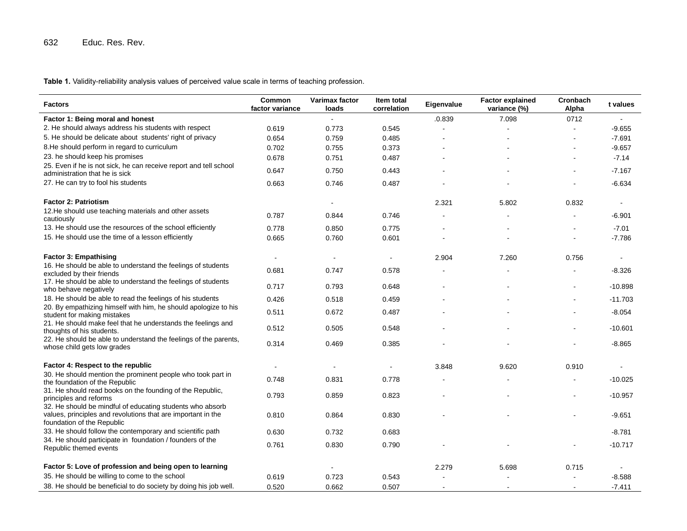**Table 1.** Validity-reliability analysis values of perceived value scale in terms of teaching profession.

| <b>Factors</b>                                                                                                                                          | Common<br>factor variance | <b>Varimax factor</b><br>loads | Item total<br>correlation | Eigenvalue   | <b>Factor explained</b><br>variance (%) | <b>Cronbach</b><br>Alpha | t values                 |
|---------------------------------------------------------------------------------------------------------------------------------------------------------|---------------------------|--------------------------------|---------------------------|--------------|-----------------------------------------|--------------------------|--------------------------|
| Factor 1: Being moral and honest                                                                                                                        |                           |                                |                           | .0.839       | 7.098                                   | 0712                     |                          |
| 2. He should always address his students with respect                                                                                                   | 0.619                     | 0.773                          | 0.545                     | $\mathbf{r}$ |                                         | $\mathbf{r}$             | $-9.655$                 |
| 5. He should be delicate about students' right of privacy                                                                                               | 0.654                     | 0.759                          | 0.485                     |              |                                         | $\overline{a}$           | $-7.691$                 |
| 8. He should perform in regard to curriculum                                                                                                            | 0.702                     | 0.755                          | 0.373                     |              |                                         | ÷,                       | $-9.657$                 |
| 23. he should keep his promises                                                                                                                         | 0.678                     | 0.751                          | 0.487                     |              |                                         | $\blacksquare$           | $-7.14$                  |
| 25. Even if he is not sick, he can receive report and tell school<br>administration that he is sick                                                     | 0.647                     | 0.750                          | 0.443                     |              |                                         | ÷,                       | $-7.167$                 |
| 27. He can try to fool his students                                                                                                                     | 0.663                     | 0.746                          | 0.487                     |              |                                         |                          | $-6.634$                 |
| <b>Factor 2: Patriotism</b>                                                                                                                             |                           |                                |                           | 2.321        | 5.802                                   | 0.832                    |                          |
| 12. He should use teaching materials and other assets<br>cautiously                                                                                     | 0.787                     | 0.844                          | 0.746                     |              |                                         | $\blacksquare$           | $-6.901$                 |
| 13. He should use the resources of the school efficiently                                                                                               | 0.778                     | 0.850                          | 0.775                     |              |                                         | ÷,                       | $-7.01$                  |
| 15. He should use the time of a lesson efficiently                                                                                                      | 0.665                     | 0.760                          | 0.601                     |              |                                         |                          | $-7.786$                 |
| <b>Factor 3: Empathising</b>                                                                                                                            | $\sim$                    | $\sim$                         | $\blacksquare$            | 2.904        | 7.260                                   | 0.756                    | $\overline{\phantom{a}}$ |
| 16. He should be able to understand the feelings of students<br>excluded by their friends                                                               | 0.681                     | 0.747                          | 0.578                     |              |                                         |                          | $-8.326$                 |
| 17. He should be able to understand the feelings of students<br>who behave negatively                                                                   | 0.717                     | 0.793                          | 0.648                     |              |                                         |                          | $-10.898$                |
| 18. He should be able to read the feelings of his students                                                                                              | 0.426                     | 0.518                          | 0.459                     |              |                                         | $\overline{a}$           | $-11.703$                |
| 20. By empathizing himself with him, he should apologize to his<br>student for making mistakes                                                          | 0.511                     | 0.672                          | 0.487                     |              |                                         |                          | $-8.054$                 |
| 21. He should make feel that he understands the feelings and<br>thoughts of his students.                                                               | 0.512                     | 0.505                          | 0.548                     |              |                                         |                          | $-10.601$                |
| 22. He should be able to understand the feelings of the parents,<br>whose child gets low grades                                                         | 0.314                     | 0.469                          | 0.385                     |              |                                         | $\overline{a}$           | $-8.865$                 |
| Factor 4: Respect to the republic                                                                                                                       | $\sim$                    | $\sim$                         | $\sim$                    | 3.848        | 9.620                                   | 0.910                    |                          |
| 30. He should mention the prominent people who took part in<br>the foundation of the Republic                                                           | 0.748                     | 0.831                          | 0.778                     |              |                                         | $\blacksquare$           | $-10.025$                |
| 31. He should read books on the founding of the Republic,<br>principles and reforms                                                                     | 0.793                     | 0.859                          | 0.823                     |              |                                         | $\overline{a}$           | $-10.957$                |
| 32. He should be mindful of educating students who absorb<br>values, principles and revolutions that are important in the<br>foundation of the Republic | 0.810                     | 0.864                          | 0.830                     |              |                                         |                          | $-9.651$                 |
| 33. He should follow the contemporary and scientific path                                                                                               | 0.630                     | 0.732                          | 0.683                     |              |                                         |                          | -8.781                   |
| 34. He should participate in foundation / founders of the<br>Republic themed events                                                                     | 0.761                     | 0.830                          | 0.790                     |              |                                         |                          | $-10.717$                |
| Factor 5: Love of profession and being open to learning                                                                                                 |                           |                                |                           | 2.279        | 5.698                                   | 0.715                    |                          |
| 35. He should be willing to come to the school                                                                                                          | 0.619                     | 0.723                          | 0.543                     |              |                                         | $\overline{a}$           | $-8.588$                 |
| 38. He should be beneficial to do society by doing his job well.                                                                                        | 0.520                     | 0.662                          | 0.507                     | $\sim$       | $\sim$                                  | $\sim$                   | $-7.411$                 |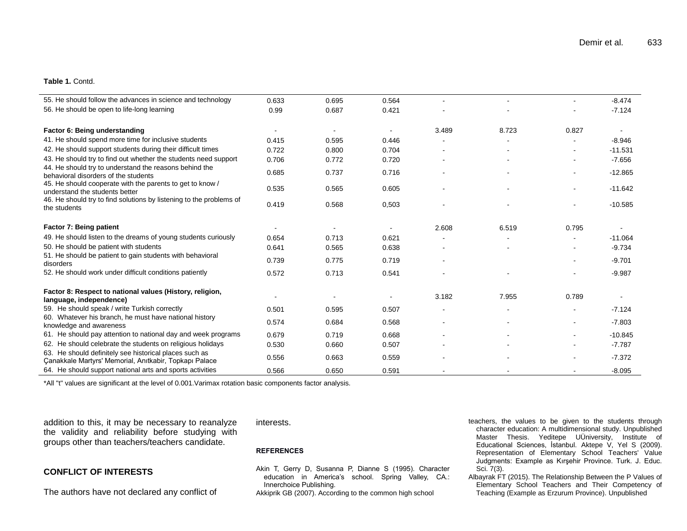#### **Table 1.** Contd.

| 55. He should follow the advances in science and technology                                                      | 0.633 | 0.695 | 0.564 |        |                |                | $-8.474$  |
|------------------------------------------------------------------------------------------------------------------|-------|-------|-------|--------|----------------|----------------|-----------|
| 56. He should be open to life-long learning                                                                      | 0.99  | 0.687 | 0.421 |        |                |                | $-7.124$  |
|                                                                                                                  |       |       |       |        |                |                |           |
| Factor 6: Being understanding                                                                                    |       |       |       | 3.489  | 8.723          | 0.827          |           |
| 41. He should spend more time for inclusive students                                                             | 0.415 | 0.595 | 0.446 |        |                |                | $-8.946$  |
| 42. He should support students during their difficult times                                                      | 0.722 | 0.800 | 0.704 |        |                |                | $-11.531$ |
| 43. He should try to find out whether the students need support                                                  | 0.706 | 0.772 | 0.720 |        |                |                | $-7.656$  |
| 44. He should try to understand the reasons behind the<br>behavioral disorders of the students                   | 0.685 | 0.737 | 0.716 |        |                |                | $-12.865$ |
| 45. He should cooperate with the parents to get to know /<br>understand the students better                      | 0.535 | 0.565 | 0.605 |        |                | ۰              | $-11.642$ |
| 46. He should try to find solutions by listening to the problems of<br>the students                              | 0.419 | 0.568 | 0,503 |        |                |                | $-10.585$ |
| <b>Factor 7: Being patient</b>                                                                                   |       |       |       | 2.608  | 6.519          | 0.795          |           |
| 49. He should listen to the dreams of young students curiously                                                   | 0.654 | 0.713 | 0.621 |        |                | ۰              | $-11.064$ |
| 50. He should be patient with students                                                                           | 0.641 | 0.565 | 0.638 |        |                |                | $-9.734$  |
| 51. He should be patient to gain students with behavioral<br>disorders                                           | 0.739 | 0.775 | 0.719 | $\sim$ |                | $\blacksquare$ | $-9.701$  |
| 52. He should work under difficult conditions patiently                                                          | 0.572 | 0.713 | 0.541 |        |                |                | $-9.987$  |
| Factor 8: Respect to national values (History, religion,<br>language, independence)                              |       |       |       | 3.182  | 7.955          | 0.789          |           |
| 59. He should speak / write Turkish correctly                                                                    | 0.501 | 0.595 | 0.507 |        |                |                | $-7.124$  |
| 60. Whatever his branch, he must have national history<br>knowledge and awareness                                | 0.574 | 0.684 | 0.568 |        |                |                | $-7.803$  |
| 61. He should pay attention to national day and week programs                                                    | 0.679 | 0.719 | 0.668 |        | $\blacksquare$ | $\sim$         | $-10.845$ |
| 62. He should celebrate the students on religious holidays                                                       | 0.530 | 0.660 | 0.507 |        |                |                | $-7.787$  |
| 63. He should definitely see historical places such as<br>Çanakkale Martyrs' Memorial, Anıtkabir, Topkapı Palace | 0.556 | 0.663 | 0.559 |        |                |                | $-7.372$  |
| 64. He should support national arts and sports activities                                                        | 0.566 | 0.650 | 0.591 |        |                |                | $-8.095$  |

\*All "t" values are significant at the level of 0.001.Varimax rotation basic components factor analysis.

addition to this, it may be necessary to reanalyze the validity and reliability before studying with groups other than teachers/teachers candidate.

The authors have not declared any conflict of

**CONFLICT OF INTERESTS**

interests.

#### **REFERENCES**

Akin T, Gerry D, Susanna P, Dianne S (1995). Character education in America's school. Spring Valley, CA.: Innerchoice Publishing.

Akkiprik GB (2007). According to the common high school

teachers, the values to be given to the students through character education: A multidimensional study. Unpublished Master Thesis. Yeditepe UÜniversity, Institute of Educational Sciences, İstanbul. Aktepe V, Yel S (2009). Representation of Elementary School Teachers' Value Judgments: Example as Kırşehir Province. Turk. J. Educ. Sci. 7(3).

Albayrak FT (2015). The Relationship Between the P Values of Elementary School Teachers and Their Competency of Teaching (Example as Erzurum Province). Unpublished